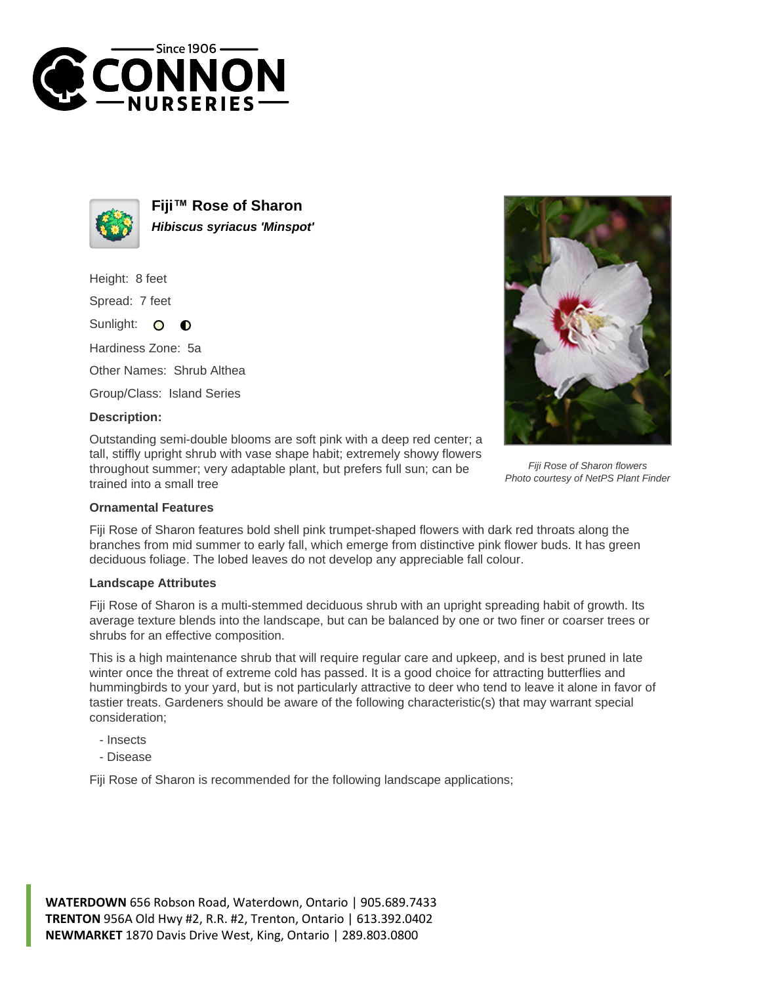



**Fiji™ Rose of Sharon Hibiscus syriacus 'Minspot'**

Height: 8 feet

Spread: 7 feet

Sunlight: O  $\bullet$ 

Hardiness Zone: 5a

Other Names: Shrub Althea

Group/Class: Island Series

## **Description:**

Outstanding semi-double blooms are soft pink with a deep red center; a tall, stiffly upright shrub with vase shape habit; extremely showy flowers throughout summer; very adaptable plant, but prefers full sun; can be trained into a small tree



Fiji Rose of Sharon flowers Photo courtesy of NetPS Plant Finder

## **Ornamental Features**

Fiji Rose of Sharon features bold shell pink trumpet-shaped flowers with dark red throats along the branches from mid summer to early fall, which emerge from distinctive pink flower buds. It has green deciduous foliage. The lobed leaves do not develop any appreciable fall colour.

## **Landscape Attributes**

Fiji Rose of Sharon is a multi-stemmed deciduous shrub with an upright spreading habit of growth. Its average texture blends into the landscape, but can be balanced by one or two finer or coarser trees or shrubs for an effective composition.

This is a high maintenance shrub that will require regular care and upkeep, and is best pruned in late winter once the threat of extreme cold has passed. It is a good choice for attracting butterflies and hummingbirds to your yard, but is not particularly attractive to deer who tend to leave it alone in favor of tastier treats. Gardeners should be aware of the following characteristic(s) that may warrant special consideration;

- Insects
- Disease

Fiji Rose of Sharon is recommended for the following landscape applications;

**WATERDOWN** 656 Robson Road, Waterdown, Ontario | 905.689.7433 **TRENTON** 956A Old Hwy #2, R.R. #2, Trenton, Ontario | 613.392.0402 **NEWMARKET** 1870 Davis Drive West, King, Ontario | 289.803.0800